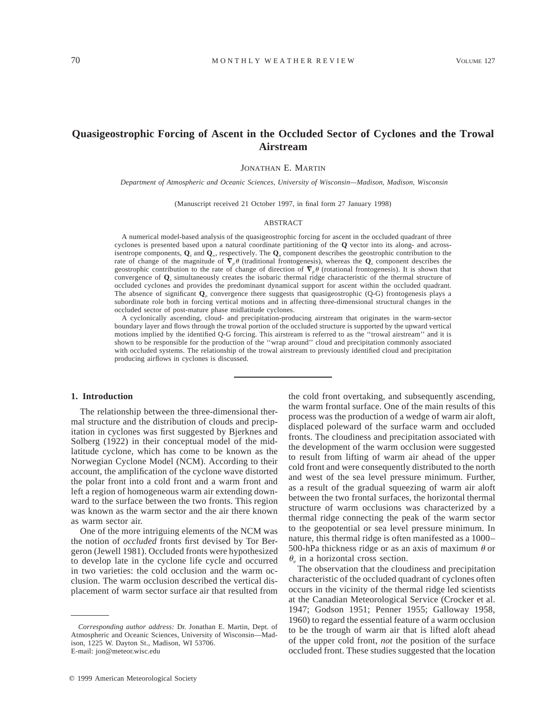# **Quasigeostrophic Forcing of Ascent in the Occluded Sector of Cyclones and the Trowal Airstream**

JONATHAN E. MARTIN

*Department of Atmospheric and Oceanic Sciences, University of Wisconsin—Madison, Madison, Wisconsin*

(Manuscript received 21 October 1997, in final form 27 January 1998)

### ABSTRACT

A numerical model-based analysis of the quasigeostrophic forcing for ascent in the occluded quadrant of three cyclones is presented based upon a natural coordinate partitioning of the **Q** vector into its along- and acrossisentrope components,  $\mathbf{Q}_n$  and  $\mathbf{Q}_n$ , respectively. The  $\mathbf{Q}_n$  component describes the geostrophic contribution to the rate of change of the magnitude of  $\nabla_{\theta} \theta$  (traditional frontogenesis), whereas the **Q**<sub>*s*</sub> component describes the geostrophic contribution to the rate of change of direction of  $\nabla_p \theta$  (rotational frontogenesis). It is shown that convergence of **Q**<sub>c</sub> simultaneously creates the isobaric thermal ridge characteristic of the thermal structure of occluded cyclones and provides the predominant dynamical support for ascent within the occluded quadrant. The absence of significant  $\mathbf{Q}_n$  convergence there suggests that quasigeostrophic (Q-G) frontogenesis plays a subordinate role both in forcing vertical motions and in affecting three-dimensional structural changes in the occluded sector of post-mature phase midlatitude cyclones.

A cyclonically ascending, cloud- and precipitation-producing airstream that originates in the warm-sector boundary layer and flows through the trowal portion of the occluded structure is supported by the upward vertical motions implied by the identified Q-G forcing. This airstream is referred to as the ''trowal airstream'' and it is shown to be responsible for the production of the ''wrap around'' cloud and precipitation commonly associated with occluded systems. The relationship of the trowal airstream to previously identified cloud and precipitation producing airflows in cyclones is discussed.

#### **1. Introduction**

The relationship between the three-dimensional thermal structure and the distribution of clouds and precipitation in cyclones was first suggested by Bjerknes and Solberg (1922) in their conceptual model of the midlatitude cyclone, which has come to be known as the Norwegian Cyclone Model (NCM). According to their account, the amplification of the cyclone wave distorted the polar front into a cold front and a warm front and left a region of homogeneous warm air extending downward to the surface between the two fronts. This region was known as the warm sector and the air there known as warm sector air.

One of the more intriguing elements of the NCM was the notion of *occluded* fronts first devised by Tor Bergeron (Jewell 1981). Occluded fronts were hypothesized to develop late in the cyclone life cycle and occurred in two varieties: the cold occlusion and the warm occlusion. The warm occlusion described the vertical displacement of warm sector surface air that resulted from the cold front overtaking, and subsequently ascending, the warm frontal surface. One of the main results of this process was the production of a wedge of warm air aloft, displaced poleward of the surface warm and occluded fronts. The cloudiness and precipitation associated with the development of the warm occlusion were suggested to result from lifting of warm air ahead of the upper cold front and were consequently distributed to the north and west of the sea level pressure minimum. Further, as a result of the gradual squeezing of warm air aloft between the two frontal surfaces, the horizontal thermal structure of warm occlusions was characterized by a thermal ridge connecting the peak of the warm sector to the geopotential or sea level pressure minimum. In nature, this thermal ridge is often manifested as a 1000– 500-hPa thickness ridge or as an axis of maximum  $\theta$  or  $\theta$ <sub>e</sub> in a horizontal cross section.

The observation that the cloudiness and precipitation characteristic of the occluded quadrant of cyclones often occurs in the vicinity of the thermal ridge led scientists at the Canadian Meteorological Service (Crocker et al. 1947; Godson 1951; Penner 1955; Galloway 1958, 1960) to regard the essential feature of a warm occlusion to be the trough of warm air that is lifted aloft ahead of the upper cold front, *not* the position of the surface occluded front. These studies suggested that the location

*Corresponding author address:* Dr. Jonathan E. Martin, Dept. of Atmospheric and Oceanic Sciences, University of Wisconsin—Madison, 1225 W. Dayton St., Madison, WI 53706. E-mail: jon@meteor.wisc.edu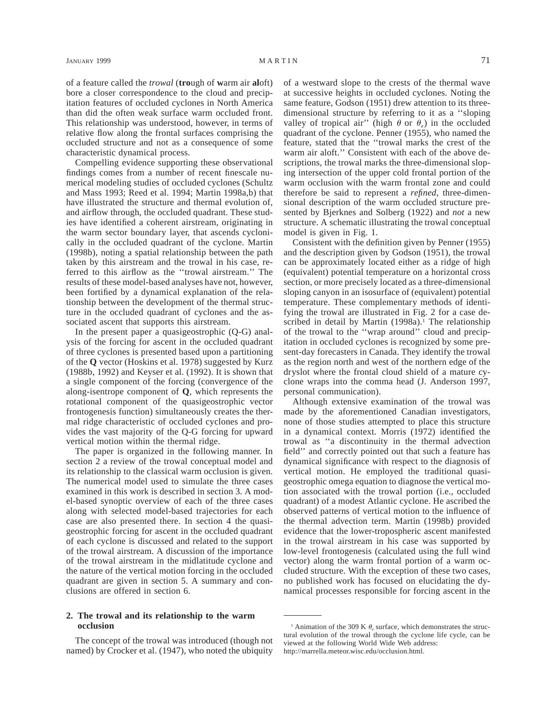of a feature called the *trowal* (**tro**ugh of **w**arm air **al**oft) bore a closer correspondence to the cloud and precipitation features of occluded cyclones in North America than did the often weak surface warm occluded front. This relationship was understood, however, in terms of relative flow along the frontal surfaces comprising the occluded structure and not as a consequence of some characteristic dynamical process.

Compelling evidence supporting these observational findings comes from a number of recent finescale numerical modeling studies of occluded cyclones (Schultz and Mass 1993; Reed et al. 1994; Martin 1998a,b) that have illustrated the structure and thermal evolution of, and airflow through, the occluded quadrant. These studies have identified a coherent airstream, originating in the warm sector boundary layer, that ascends cyclonically in the occluded quadrant of the cyclone. Martin (1998b), noting a spatial relationship between the path taken by this airstream and the trowal in his case, referred to this airflow as the ''trowal airstream.'' The results of these model-based analyses have not, however, been fortified by a dynamical explanation of the relationship between the development of the thermal structure in the occluded quadrant of cyclones and the associated ascent that supports this airstream.

In the present paper a quasigeostrophic (Q-G) analysis of the forcing for ascent in the occluded quadrant of three cyclones is presented based upon a partitioning of the **Q** vector (Hoskins et al. 1978) suggested by Kurz (1988b, 1992) and Keyser et al. (1992). It is shown that a single component of the forcing (convergence of the along-isentrope component of **Q**, which represents the rotational component of the quasigeostrophic vector frontogenesis function) simultaneously creates the thermal ridge characteristic of occluded cyclones and provides the vast majority of the Q-G forcing for upward vertical motion within the thermal ridge.

The paper is organized in the following manner. In section 2 a review of the trowal conceptual model and its relationship to the classical warm occlusion is given. The numerical model used to simulate the three cases examined in this work is described in section 3. A model-based synoptic overview of each of the three cases along with selected model-based trajectories for each case are also presented there. In section 4 the quasigeostrophic forcing for ascent in the occluded quadrant of each cyclone is discussed and related to the support of the trowal airstream. A discussion of the importance of the trowal airstream in the midlatitude cyclone and the nature of the vertical motion forcing in the occluded quadrant are given in section 5. A summary and conclusions are offered in section 6.

### **2. The trowal and its relationship to the warm occlusion**

The concept of the trowal was introduced (though not named) by Crocker et al. (1947), who noted the ubiquity of a westward slope to the crests of the thermal wave at successive heights in occluded cyclones. Noting the same feature, Godson (1951) drew attention to its threedimensional structure by referring to it as a ''sloping valley of tropical air" (high  $\theta$  or  $\theta_e$ ) in the occluded quadrant of the cyclone. Penner (1955), who named the feature, stated that the ''trowal marks the crest of the warm air aloft.'' Consistent with each of the above descriptions, the trowal marks the three-dimensional sloping intersection of the upper cold frontal portion of the warm occlusion with the warm frontal zone and could therefore be said to represent a *refined,* three-dimensional description of the warm occluded structure presented by Bjerknes and Solberg (1922) and *not* a new structure. A schematic illustrating the trowal conceptual model is given in Fig. 1.

Consistent with the definition given by Penner (1955) and the description given by Godson (1951), the trowal can be approximately located either as a ridge of high (equivalent) potential temperature on a horizontal cross section, or more precisely located as a three-dimensional sloping canyon in an isosurface of (equivalent) potential temperature. These complementary methods of identifying the trowal are illustrated in Fig. 2 for a case described in detail by Martin  $(1998a)^1$ . The relationship of the trowal to the ''wrap around'' cloud and precipitation in occluded cyclones is recognized by some present-day forecasters in Canada. They identify the trowal as the region north and west of the northern edge of the dryslot where the frontal cloud shield of a mature cyclone wraps into the comma head (J. Anderson 1997, personal communication).

Although extensive examination of the trowal was made by the aforementioned Canadian investigators, none of those studies attempted to place this structure in a dynamical context. Morris (1972) identified the trowal as ''a discontinuity in the thermal advection field'' and correctly pointed out that such a feature has dynamical significance with respect to the diagnosis of vertical motion. He employed the traditional quasigeostrophic omega equation to diagnose the vertical motion associated with the trowal portion (i.e., occluded quadrant) of a modest Atlantic cyclone. He ascribed the observed patterns of vertical motion to the influence of the thermal advection term. Martin (1998b) provided evidence that the lower-tropospheric ascent manifested in the trowal airstream in his case was supported by low-level frontogenesis (calculated using the full wind vector) along the warm frontal portion of a warm occluded structure. With the exception of these two cases, no published work has focused on elucidating the dynamical processes responsible for forcing ascent in the

<sup>&</sup>lt;sup>1</sup> Animation of the 309 K  $\theta$ <sub>e</sub> surface, which demonstrates the structural evolution of the trowal through the cyclone life cycle, can be viewed at the following World Wide Web address: http://marrella.meteor.wisc.edu/occlusion.html.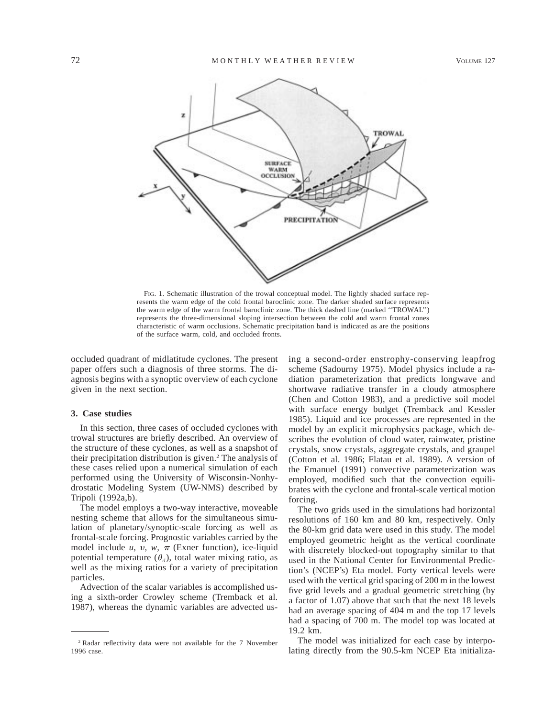

FIG. 1. Schematic illustration of the trowal conceptual model. The lightly shaded surface represents the warm edge of the cold frontal baroclinic zone. The darker shaded surface represents the warm edge of the warm frontal baroclinic zone. The thick dashed line (marked ''TROWAL'') represents the three-dimensional sloping intersection between the cold and warm frontal zones characteristic of warm occlusions. Schematic precipitation band is indicated as are the positions of the surface warm, cold, and occluded fronts.

occluded quadrant of midlatitude cyclones. The present paper offers such a diagnosis of three storms. The diagnosis begins with a synoptic overview of each cyclone given in the next section.

### **3. Case studies**

In this section, three cases of occluded cyclones with trowal structures are briefly described. An overview of the structure of these cyclones, as well as a snapshot of their precipitation distribution is given.2 The analysis of these cases relied upon a numerical simulation of each performed using the University of Wisconsin-Nonhydrostatic Modeling System (UW-NMS) described by Tripoli (1992a,b).

The model employs a two-way interactive, moveable nesting scheme that allows for the simultaneous simulation of planetary/synoptic-scale forcing as well as frontal-scale forcing. Prognostic variables carried by the model include  $u$ ,  $v$ ,  $w$ ,  $\pi$  (Exner function), ice-liquid potential temperature  $(\theta_{ii})$ , total water mixing ratio, as well as the mixing ratios for a variety of precipitation particles.

Advection of the scalar variables is accomplished using a sixth-order Crowley scheme (Tremback et al. 1987), whereas the dynamic variables are advected using a second-order enstrophy-conserving leapfrog scheme (Sadourny 1975). Model physics include a radiation parameterization that predicts longwave and shortwave radiative transfer in a cloudy atmosphere (Chen and Cotton 1983), and a predictive soil model with surface energy budget (Tremback and Kessler 1985). Liquid and ice processes are represented in the model by an explicit microphysics package, which describes the evolution of cloud water, rainwater, pristine crystals, snow crystals, aggregate crystals, and graupel (Cotton et al. 1986; Flatau et al. 1989). A version of the Emanuel (1991) convective parameterization was employed, modified such that the convection equilibrates with the cyclone and frontal-scale vertical motion forcing.

The two grids used in the simulations had horizontal resolutions of 160 km and 80 km, respectively. Only the 80-km grid data were used in this study. The model employed geometric height as the vertical coordinate with discretely blocked-out topography similar to that used in the National Center for Environmental Prediction's (NCEP's) Eta model. Forty vertical levels were used with the vertical grid spacing of 200 m in the lowest five grid levels and a gradual geometric stretching (by a factor of 1.07) above that such that the next 18 levels had an average spacing of 404 m and the top 17 levels had a spacing of 700 m. The model top was located at 19.2 km.

The model was initialized for each case by interpolating directly from the 90.5-km NCEP Eta initializa-

<sup>2</sup> Radar reflectivity data were not available for the 7 November 1996 case.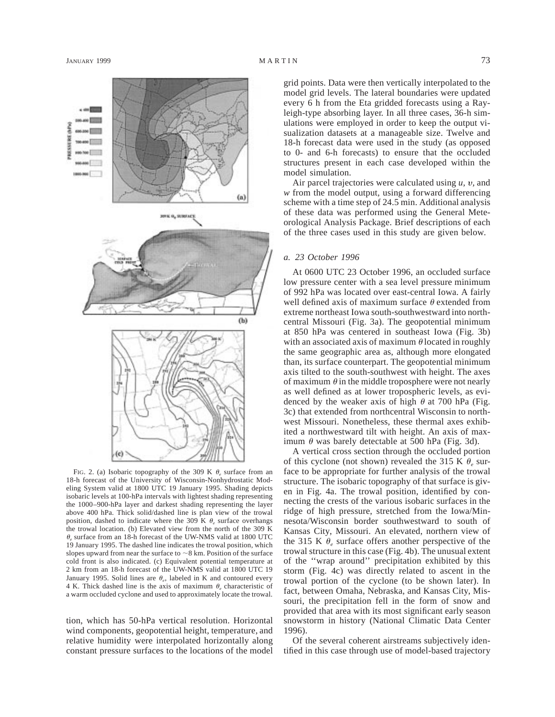Out of **RESILTEE** 



 $(a)$ **JOIN G. SURFACT** (b)



FIG. 2. (a) Isobaric topography of the 309 K  $\theta_e$  surface from an 18-h forecast of the University of Wisconsin-Nonhydrostatic Modeling System valid at 1800 UTC 19 January 1995. Shading depicts isobaric levels at 100-hPa intervals with lightest shading representing the 1000–900-hPa layer and darkest shading representing the layer above 400 hPa. Thick solid/dashed line is plan view of the trowal position, dashed to indicate where the 309 K  $\theta$ <sub>c</sub> surface overhangs the trowal location. (b) Elevated view from the north of the 309 K  $\theta$ <sub>e</sub> surface from an 18-h forecast of the UW-NMS valid at 1800 UTC 19 January 1995. The dashed line indicates the trowal position, which slopes upward from near the surface to  $\sim$ 8 km. Position of the surface cold front is also indicated. (c) Equivalent potential temperature at 2 km from an 18-h forecast of the UW-NMS valid at 1800 UTC 19 January 1995. Solid lines are  $\theta_e$ , labeled in K and contoured every 4 K. Thick dashed line is the axis of maximum  $\theta$ , characteristic of a warm occluded cyclone and used to approximately locate the trowal.

tion, which has 50-hPa vertical resolution. Horizontal wind components, geopotential height, temperature, and relative humidity were interpolated horizontally along constant pressure surfaces to the locations of the model grid points. Data were then vertically interpolated to the model grid levels. The lateral boundaries were updated every 6 h from the Eta gridded forecasts using a Rayleigh-type absorbing layer. In all three cases, 36-h simulations were employed in order to keep the output visualization datasets at a manageable size. Twelve and 18-h forecast data were used in the study (as opposed to 0- and 6-h forecasts) to ensure that the occluded structures present in each case developed within the model simulation.

Air parcel trajectories were calculated using *u*, *v*, and *w* from the model output, using a forward differencing scheme with a time step of 24.5 min. Additional analysis of these data was performed using the General Meteorological Analysis Package. Brief descriptions of each of the three cases used in this study are given below.

#### *a. 23 October 1996*

At 0600 UTC 23 October 1996, an occluded surface low pressure center with a sea level pressure minimum of 992 hPa was located over east-central Iowa. A fairly well defined axis of maximum surface  $\theta$  extended from extreme northeast Iowa south-southwestward into northcentral Missouri (Fig. 3a). The geopotential minimum at 850 hPa was centered in southeast Iowa (Fig. 3b) with an associated axis of maximum  $\theta$  located in roughly the same geographic area as, although more elongated than, its surface counterpart. The geopotential minimum axis tilted to the south-southwest with height. The axes of maximum  $\theta$  in the middle troposphere were not nearly as well defined as at lower tropospheric levels, as evidenced by the weaker axis of high  $\theta$  at 700 hPa (Fig. 3c) that extended from northcentral Wisconsin to northwest Missouri. Nonetheless, these thermal axes exhibited a northwestward tilt with height. An axis of maximum  $\theta$  was barely detectable at 500 hPa (Fig. 3d).

A vertical cross section through the occluded portion of this cyclone (not shown) revealed the 315 K  $\theta$ <sub>c</sub> surface to be appropriate for further analysis of the trowal structure. The isobaric topography of that surface is given in Fig. 4a. The trowal position, identified by connecting the crests of the various isobaric surfaces in the ridge of high pressure, stretched from the Iowa/Minnesota/Wisconsin border southwestward to south of Kansas City, Missouri. An elevated, northern view of the 315 K  $\theta$ <sub>c</sub> surface offers another perspective of the trowal structure in this case (Fig. 4b). The unusual extent of the ''wrap around'' precipitation exhibited by this storm (Fig. 4c) was directly related to ascent in the trowal portion of the cyclone (to be shown later). In fact, between Omaha, Nebraska, and Kansas City, Missouri, the precipitation fell in the form of snow and provided that area with its most significant early season snowstorm in history (National Climatic Data Center 1996).

Of the several coherent airstreams subjectively identified in this case through use of model-based trajectory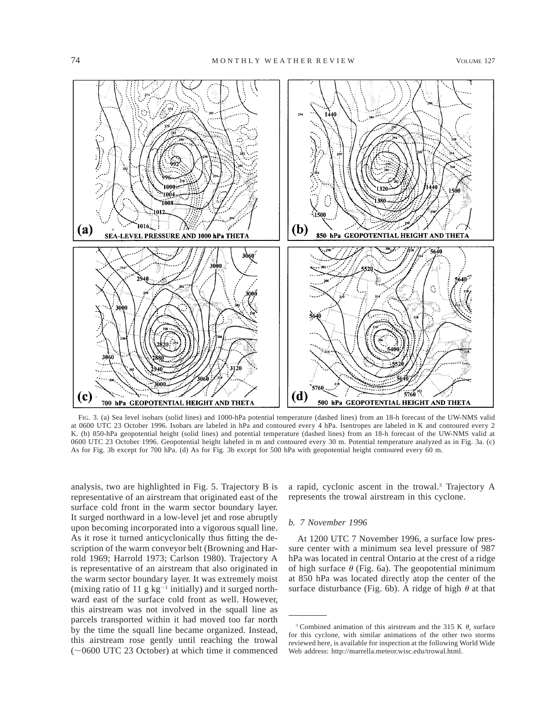

FIG. 3. (a) Sea level isobars (solid lines) and 1000-hPa potential temperature (dashed lines) from an 18-h forecast of the UW-NMS valid at 0600 UTC 23 October 1996. Isobars are labeled in hPa and contoured every 4 hPa. Isentropes are labeled in K and contoured every 2 K. (b) 850-hPa geopotential height (solid lines) and potential temperature (dashed lines) from an 18-h forecast of the UW-NMS valid at 0600 UTC 23 October 1996. Geopotential height labeled in m and contoured every 30 m. Potential temperature analyzed as in Fig. 3a. (c) As for Fig. 3b except for 700 hPa. (d) As for Fig. 3b except for 500 hPa with geopotential height contoured every 60 m.

analysis, two are highlighted in Fig. 5. Trajectory B is representative of an airstream that originated east of the surface cold front in the warm sector boundary layer. It surged northward in a low-level jet and rose abruptly upon becoming incorporated into a vigorous squall line. As it rose it turned anticyclonically thus fitting the description of the warm conveyor belt (Browning and Harrold 1969; Harrold 1973; Carlson 1980). Trajectory A is representative of an airstream that also originated in the warm sector boundary layer. It was extremely moist (mixing ratio of 11 g  $kg^{-1}$  initially) and it surged northward east of the surface cold front as well. However, this airstream was not involved in the squall line as parcels transported within it had moved too far north by the time the squall line became organized. Instead, this airstream rose gently until reaching the trowal  $(\sim)600$  UTC 23 October) at which time it commenced

a rapid, cyclonic ascent in the trowal.3 Trajectory A represents the trowal airstream in this cyclone.

# *b. 7 November 1996*

At 1200 UTC 7 November 1996, a surface low pressure center with a minimum sea level pressure of 987 hPa was located in central Ontario at the crest of a ridge of high surface  $\theta$  (Fig. 6a). The geopotential minimum at 850 hPa was located directly atop the center of the surface disturbance (Fig. 6b). A ridge of high  $\theta$  at that

<sup>&</sup>lt;sup>3</sup> Combined animation of this airstream and the 315 K  $\theta_e$  surface for this cyclone, with similar animations of the other two storms reviewed here, is available for inspection at the following World Wide Web address: http://marrella.meteor.wisc.edu/trowal.html.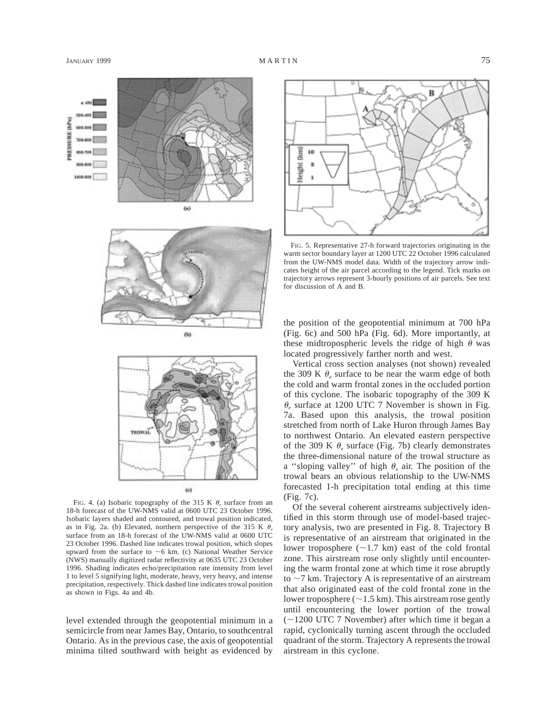





FIG. 4. (a) Isobaric topography of the 315 K  $\theta_e$  surface from an 18-h forecast of the UW-NMS valid at 0600 UTC 23 October 1996. Isobaric layers shaded and contoured, and trowal position indicated, as in Fig. 2a. (b) Elevated, northern perspective of the 315 K  $\theta_e$ surface from an 18-h forecast of the UW-NMS valid at 0600 UTC 23 October 1996. Dashed line indicates trowal position, which slopes upward from the surface to  $\sim$  6 km. (c) National Weather Service (NWS) manually digitized radar reflectivity at 0635 UTC 23 October 1996. Shading indicates echo/precipitation rate intensity from level 1 to level 5 signifying light, moderate, heavy, very heavy, and intense precipitation, respectively. Thick dashed line indicates trowal position as shown in Figs. 4a and 4b.

level extended through the geopotential minimum in a semicircle from near James Bay, Ontario, to southcentral Ontario. As in the previous case, the axis of geopotential minima tilted southward with height as evidenced by



FIG. 5. Representative 27-h forward trajectories originating in the warm sector boundary layer at 1200 UTC 22 October 1996 calculated from the UW-NMS model data. Width of the trajectory arrow indicates height of the air parcel according to the legend. Tick marks on trajectory arrows represent 3-hourly positions of air parcels. See text for discussion of A and B.

the position of the geopotential minimum at 700 hPa (Fig. 6c) and 500 hPa (Fig. 6d). More importantly, at these midtropospheric levels the ridge of high  $\theta$  was located progressively farther north and west.

Vertical cross section analyses (not shown) revealed the 309 K  $\theta$ <sub>c</sub> surface to be near the warm edge of both the cold and warm frontal zones in the occluded portion of this cyclone. The isobaric topography of the 309 K  $\theta$ <sub>e</sub> surface at 1200 UTC 7 November is shown in Fig. 7a. Based upon this analysis, the trowal position stretched from north of Lake Huron through James Bay to northwest Ontario. An elevated eastern perspective of the 309 K  $\theta_e$  surface (Fig. 7b) clearly demonstrates the three-dimensional nature of the trowal structure as a "sloping valley" of high  $\theta_e$  air. The position of the trowal bears an obvious relationship to the UW-NMS forecasted 1-h precipitation total ending at this time (Fig. 7c).

Of the several coherent airstreams subjectively identified in this storm through use of model-based trajectory analysis, two are presented in Fig. 8. Trajectory B is representative of an airstream that originated in the lower troposphere  $(\sim 1.7 \text{ km})$  east of the cold frontal zone. This airstream rose only slightly until encountering the warm frontal zone at which time it rose abruptly to  $\sim$ 7 km. Trajectory A is representative of an airstream that also originated east of the cold frontal zone in the lower troposphere ( $\sim$ 1.5 km). This airstream rose gently until encountering the lower portion of the trowal  $(-1200$  UTC 7 November) after which time it began a rapid, cyclonically turning ascent through the occluded quadrant of the storm. Trajectory A represents the trowal airstream in this cyclone.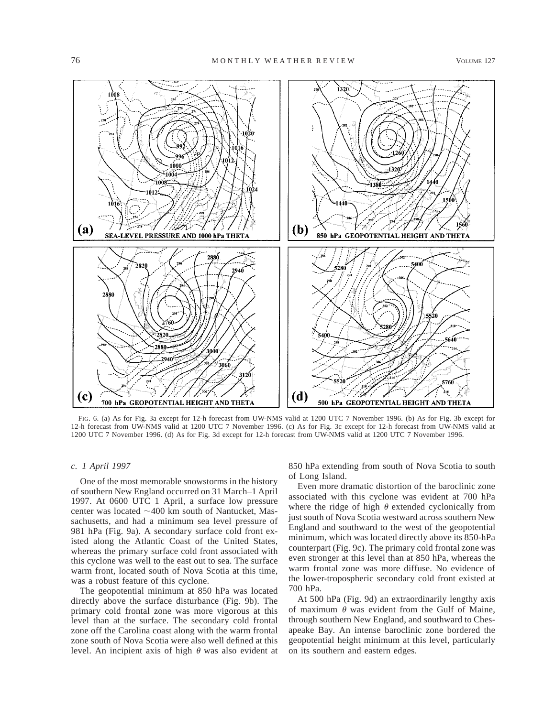

FIG. 6. (a) As for Fig. 3a except for 12-h forecast from UW-NMS valid at 1200 UTC 7 November 1996. (b) As for Fig. 3b except for 12-h forecast from UW-NMS valid at 1200 UTC 7 November 1996. (c) As for Fig. 3c except for 12-h forecast from UW-NMS valid at 1200 UTC 7 November 1996. (d) As for Fig. 3d except for 12-h forecast from UW-NMS valid at 1200 UTC 7 November 1996.

### *c. 1 April 1997*

One of the most memorable snowstorms in the history of southern New England occurred on 31 March–1 April 1997. At 0600 UTC 1 April, a surface low pressure center was located  $\sim$ 400 km south of Nantucket, Massachusetts, and had a minimum sea level pressure of 981 hPa (Fig. 9a). A secondary surface cold front existed along the Atlantic Coast of the United States, whereas the primary surface cold front associated with this cyclone was well to the east out to sea. The surface warm front, located south of Nova Scotia at this time, was a robust feature of this cyclone.

The geopotential minimum at 850 hPa was located directly above the surface disturbance (Fig. 9b). The primary cold frontal zone was more vigorous at this level than at the surface. The secondary cold frontal zone off the Carolina coast along with the warm frontal zone south of Nova Scotia were also well defined at this level. An incipient axis of high  $\theta$  was also evident at

850 hPa extending from south of Nova Scotia to south of Long Island.

Even more dramatic distortion of the baroclinic zone associated with this cyclone was evident at 700 hPa where the ridge of high  $\theta$  extended cyclonically from just south of Nova Scotia westward across southern New England and southward to the west of the geopotential minimum, which was located directly above its 850-hPa counterpart (Fig. 9c). The primary cold frontal zone was even stronger at this level than at 850 hPa, whereas the warm frontal zone was more diffuse. No evidence of the lower-tropospheric secondary cold front existed at 700 hPa.

At 500 hPa (Fig. 9d) an extraordinarily lengthy axis of maximum  $\theta$  was evident from the Gulf of Maine, through southern New England, and southward to Chesapeake Bay. An intense baroclinic zone bordered the geopotential height minimum at this level, particularly on its southern and eastern edges.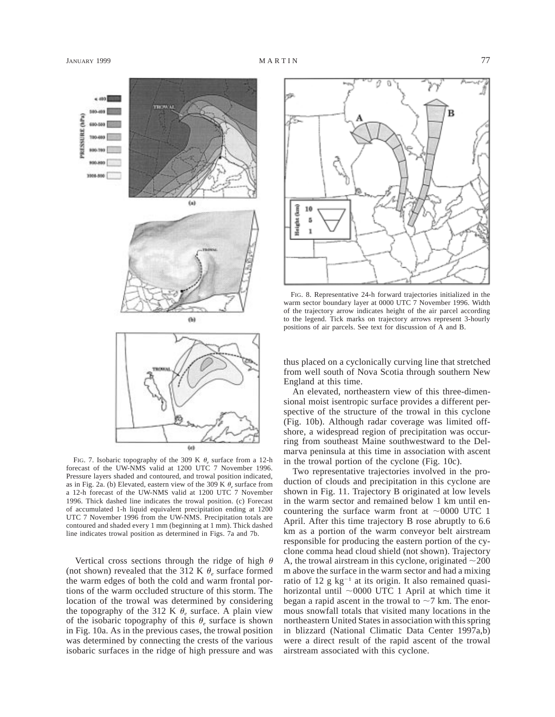

tar

FIG. 7. Isobaric topography of the 309 K  $\theta$ <sub>c</sub> surface from a 12-h forecast of the UW-NMS valid at 1200 UTC 7 November 1996. Pressure layers shaded and contoured, and trowal position indicated, as in Fig. 2a. (b) Elevated, eastern view of the 309 K  $\theta$ <sub>c</sub> surface from a 12-h forecast of the UW-NMS valid at 1200 UTC 7 November 1996. Thick dashed line indicates the trowal position. (c) Forecast of accumulated 1-h liquid equivalent precipitation ending at 1200 UTC 7 November 1996 from the UW-NMS. Precipitation totals are contoured and shaded every 1 mm (beginning at 1 mm). Thick dashed line indicates trowal position as determined in Figs. 7a and 7b.

Vertical cross sections through the ridge of high  $\theta$ (not shown) revealed that the 312 K  $\theta$ <sub>e</sub> surface formed the warm edges of both the cold and warm frontal portions of the warm occluded structure of this storm. The location of the trowal was determined by considering the topography of the 312 K  $\theta_e$  surface. A plain view of the isobaric topography of this  $\theta$ <sub>c</sub> surface is shown in Fig. 10a. As in the previous cases, the trowal position was determined by connecting the crests of the various isobaric surfaces in the ridge of high pressure and was



FIG. 8. Representative 24-h forward trajectories initialized in the warm sector boundary layer at 0000 UTC 7 November 1996. Width of the trajectory arrow indicates height of the air parcel according to the legend. Tick marks on trajectory arrows represent 3-hourly positions of air parcels. See text for discussion of A and B.

thus placed on a cyclonically curving line that stretched from well south of Nova Scotia through southern New England at this time.

An elevated, northeastern view of this three-dimensional moist isentropic surface provides a different perspective of the structure of the trowal in this cyclone (Fig. 10b). Although radar coverage was limited offshore, a widespread region of precipitation was occurring from southeast Maine southwestward to the Delmarva peninsula at this time in association with ascent in the trowal portion of the cyclone (Fig. 10c).

Two representative trajectories involved in the production of clouds and precipitation in this cyclone are shown in Fig. 11. Trajectory B originated at low levels in the warm sector and remained below 1 km until encountering the surface warm front at  $\sim 0000$  UTC 1 April. After this time trajectory B rose abruptly to 6.6 km as a portion of the warm conveyor belt airstream responsible for producing the eastern portion of the cyclone comma head cloud shield (not shown). Trajectory A, the trowal airstream in this cyclone, originated  $\sim$ 200 m above the surface in the warm sector and had a mixing ratio of 12 g  $kg^{-1}$  at its origin. It also remained quasihorizontal until  $\sim 0000$  UTC 1 April at which time it began a rapid ascent in the trowal to  $\sim$ 7 km. The enormous snowfall totals that visited many locations in the northeastern United States in association with this spring in blizzard (National Climatic Data Center 1997a,b) were a direct result of the rapid ascent of the trowal airstream associated with this cyclone.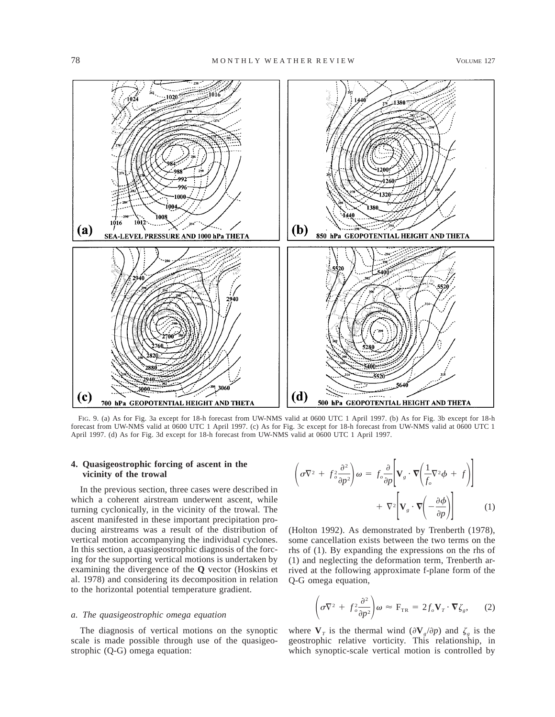

FIG. 9. (a) As for Fig. 3a except for 18-h forecast from UW-NMS valid at 0600 UTC 1 April 1997. (b) As for Fig. 3b except for 18-h forecast from UW-NMS valid at 0600 UTC 1 April 1997. (c) As for Fig. 3c except for 18-h forecast from UW-NMS valid at 0600 UTC 1 April 1997. (d) As for Fig. 3d except for 18-h forecast from UW-NMS valid at 0600 UTC 1 April 1997.

### **4. Quasigeostrophic forcing of ascent in the vicinity of the trowal**

In the previous section, three cases were described in which a coherent airstream underwent ascent, while turning cyclonically, in the vicinity of the trowal. The ascent manifested in these important precipitation producing airstreams was a result of the distribution of vertical motion accompanying the individual cyclones. In this section, a quasigeostrophic diagnosis of the forcing for the supporting vertical motions is undertaken by examining the divergence of the **Q** vector (Hoskins et al. 1978) and considering its decomposition in relation to the horizontal potential temperature gradient.

#### *a. The quasigeostrophic omega equation*

The diagnosis of vertical motions on the synoptic scale is made possible through use of the quasigeostrophic (Q-G) omega equation:

$$
\left(\sigma \nabla^2 + f_o^2 \frac{\partial^2}{\partial p^2}\right) \omega = f_o \frac{\partial}{\partial p} \left[ \mathbf{V}_g \cdot \nabla \left( \frac{1}{f_o} \nabla^2 \phi + f \right) \right] + \nabla^2 \left[ \mathbf{V}_g \cdot \nabla \left( -\frac{\partial \phi}{\partial p} \right) \right]
$$
\n(1)

(Holton 1992). As demonstrated by Trenberth (1978), some cancellation exists between the two terms on the rhs of (1). By expanding the expressions on the rhs of (1) and neglecting the deformation term, Trenberth arrived at the following approximate f-plane form of the Q-G omega equation,

$$
\left(\sigma \nabla^2 + f^2 \frac{\partial^2}{\partial p^2}\right) \omega \approx \mathbf{F}_{\mathrm{TR}} = 2f_o \mathbf{V}_T \cdot \nabla \zeta_g, \qquad (2)
$$

where  $V_T$  is the thermal wind  $(\partial V_g/\partial p)$  and  $\zeta_g$  is the geostrophic relative vorticity. This relationship, in which synoptic-scale vertical motion is controlled by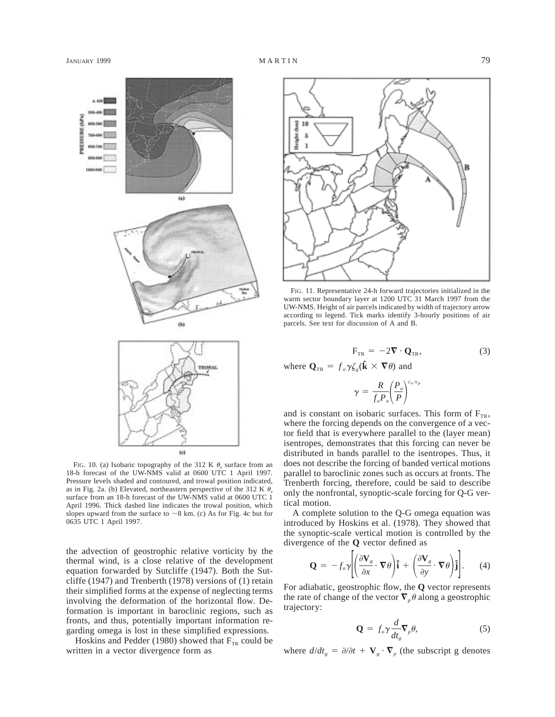

FIG. 10. (a) Isobaric topography of the 312 K  $\theta_e$  surface from an 18-h forecast of the UW-NMS valid at 0600 UTC 1 April 1997. Pressure levels shaded and contoured, and trowal position indicated, as in Fig. 2a. (b) Elevated, northeastern perspective of the 312 K  $\theta_e$ surface from an 18-h forecast of the UW-NMS valid at 0600 UTC 1 April 1996. Thick dashed line indicates the trowal position, which slopes upward from the surface to  $\sim$ 8 km. (c) As for Fig. 4c but for 0635 UTC 1 April 1997.

the advection of geostrophic relative vorticity by the thermal wind, is a close relative of the development equation forwarded by Sutcliffe (1947). Both the Sutcliffe (1947) and Trenberth (1978) versions of (1) retain their simplified forms at the expense of neglecting terms involving the deformation of the horizontal flow. Deformation is important in baroclinic regions, such as fronts, and thus, potentially important information regarding omega is lost in these simplified expressions.

Hoskins and Pedder (1980) showed that  $F_{TR}$  could be written in a vector divergence form as



FIG. 11. Representative 24-h forward trajectories initialized in the warm sector boundary layer at 1200 UTC 31 March 1997 from the UW-NMS. Height of air parcels indicated by width of trajectory arrow according to legend. Tick marks identify 3-hourly positions of air parcels. See text for discussion of A and B.

$$
F_{TR} = -2\mathbf{\nabla} \cdot \mathbf{Q}_{TR},\tag{3}
$$

where  $\mathbf{Q}_{TR} = f_o \gamma \zeta_g(\hat{\mathbf{k}} \times \nabla \theta)$  and

$$
\gamma = \frac{R}{f_o P_o} \left(\frac{P_o}{P}\right)^{c_v/c_p}
$$

and is constant on isobaric surfaces. This form of  $F_{TR}$ , where the forcing depends on the convergence of a vector field that is everywhere parallel to the (layer mean) isentropes, demonstrates that this forcing can never be distributed in bands parallel to the isentropes. Thus, it does not describe the forcing of banded vertical motions parallel to baroclinic zones such as occurs at fronts. The Trenberth forcing, therefore, could be said to describe only the nonfrontal, synoptic-scale forcing for Q-G vertical motion.

A complete solution to the Q-G omega equation was introduced by Hoskins et al. (1978). They showed that the synoptic-scale vertical motion is controlled by the divergence of the **Q** vector defined as

$$
\mathbf{Q} = -f_o \gamma \left[ \left( \frac{\partial \mathbf{V}_g}{\partial x} \cdot \nabla \theta \right) \mathbf{\hat{i}} + \left( \frac{\partial \mathbf{V}_g}{\partial y} \cdot \nabla \theta \right) \mathbf{\hat{j}} \right].
$$
 (4)

For adiabatic, geostrophic flow, the **Q** vector represents the rate of change of the vector  $\nabla_p \theta$  along a geostrophic trajectory:

$$
\mathbf{Q} = f_o \gamma \frac{d}{dt_g} \nabla_p \theta, \tag{5}
$$

where  $d/dt_g = \partial/\partial t + \mathbf{V}_g \cdot \mathbf{\nabla}_p$  (the subscript g denotes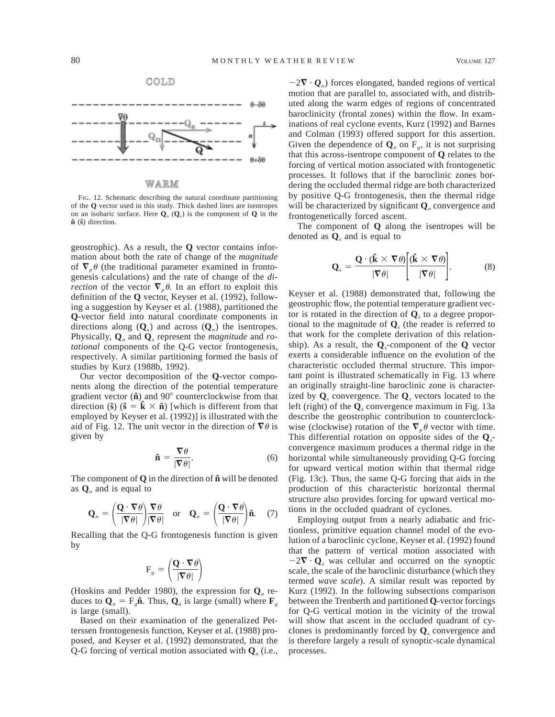



warm

FIG. 12. Schematic describing the natural coordinate partitioning of the **Q** vector used in this study. Thick dashed lines are isentropes on an isobaric surface. Here  $Q_n(Q_s)$  is the component of  $Q$  in the **nˆ** (**sˆ**) direction.

geostrophic). As a result, the **Q** vector contains information about both the rate of change of the *magnitude* of  $\nabla_{n} \theta$  (the traditional parameter examined in frontogenesis calculations) and the rate of change of the *direction* of the vector  $\nabla_p \theta$ . In an effort to exploit this definition of the **Q** vector, Keyser et al. (1992), following a suggestion by Keyser et al. (1988), partitioned the **Q**-vector field into natural coordinate components in directions along  $(Q_\nu)$  and across  $(Q_\nu)$  the isentropes. Physically, **Q***<sup>n</sup>* and **Q***<sup>s</sup>* represent the *magnitude* and *rotational* components of the Q-G vector frontogenesis, respectively. A similar partitioning formed the basis of studies by Kurz (1988b, 1992).

Our vector decomposition of the **Q**-vector components along the direction of the potential temperature gradient vector ( $\hat{\bf{n}}$ ) and 90° counterclockwise from that direction (**s**̂) ( $\hat{\mathbf{s}} = \hat{\mathbf{k}} \times \hat{\mathbf{n}}$ ) [which is different from that employed by Keyser et al. (1992)] is illustrated with the aid of Fig. 12. The unit vector in the direction of  $\nabla \theta$  is given by

$$
\hat{\mathbf{n}} = \frac{\nabla \theta}{|\nabla \theta|}.
$$
 (6)

The component of **Q** in the direction of **nˆ** will be denoted as  $\mathbf{Q}_n$  and is equal to

$$
\mathbf{Q}_n = \left(\frac{\mathbf{Q} \cdot \nabla \theta}{|\nabla \theta|}\right) \frac{\nabla \theta}{|\nabla \theta|} \text{ or } \mathbf{Q}_n = \left(\frac{\mathbf{Q} \cdot \nabla \theta}{|\nabla \theta|}\right) \hat{\mathbf{n}}. \quad (7)
$$

Recalling that the Q-G frontogenesis function is given by

$$
\mathbf{F}_{g} = \left(\frac{\mathbf{Q} \cdot \mathbf{\nabla} \theta}{|\mathbf{\nabla} \theta|}\right)
$$

(Hoskins and Pedder 1980), the expression for **Q***<sup>n</sup>* reduces to  $\mathbf{Q}_n = \mathbf{F}_e \hat{\mathbf{n}}$ . Thus,  $\mathbf{Q}_n$  is large (small) where  $\mathbf{F}_e$ is large (small).

Based on their examination of the generalized Petterssen frontogenesis function, Keyser et al. (1988) proposed, and Keyser et al. (1992) demonstrated, that the Q-G forcing of vertical motion associated with **Q***<sup>n</sup>* (i.e.,

 $-2\nabla \cdot \boldsymbol{Q}_n$  forces elongated, banded regions of vertical motion that are parallel to, associated with, and distributed along the warm edges of regions of concentrated baroclinicity (frontal zones) within the flow. In examinations of real cyclone events, Kurz (1992) and Barnes and Colman (1993) offered support for this assertion. Given the dependence of  $\mathbf{Q}_n$  on  $\mathbf{F}_g$ , it is not surprising that this across-isentrope component of **Q** relates to the forcing of vertical motion associated with frontogenetic processes. It follows that if the baroclinic zones bordering the occluded thermal ridge are both characterized by positive Q-G frontogenesis, then the thermal ridge will be characterized by significant **Q***<sup>n</sup>* convergence and frontogenetically forced ascent.

The component of **Q** along the isentropes will be denoted as **Q***<sup>s</sup>* and is equal to

$$
\mathbf{Q}_s = \frac{\mathbf{Q} \cdot (\hat{\mathbf{k}} \times \nabla \theta)}{|\nabla \theta|} \left[ \frac{(\hat{\mathbf{k}} \times \nabla \theta)}{|\nabla \theta|} \right]. \tag{8}
$$

Keyser et al. (1988) demonstrated that, following the geostrophic flow, the potential temperature gradient vector is rotated in the direction of **Q***<sup>s</sup>* to a degree proportional to the magnitude of **Q***<sup>s</sup>* (the reader is referred to that work for the complete derivation of this relationship). As a result, the **Q***s*-component of the **Q** vector exerts a considerable influence on the evolution of the characteristic occluded thermal structure. This important point is illustrated schematically in Fig. 13 where an originally straight-line baroclinic zone is characterized by **Q***<sup>s</sup>* convergence. The **Q***<sup>s</sup>* vectors located to the left (right) of the **Q***<sup>s</sup>* convergence maximum in Fig. 13a describe the geostrophic contribution to counterclockwise (clockwise) rotation of the  $\nabla_p \theta$  vector with time. This differential rotation on opposite sides of the **Q***s*convergence maximum produces a thermal ridge in the horizontal while simultaneously providing Q-G forcing for upward vertical motion within that thermal ridge (Fig. 13c). Thus, the same Q-G forcing that aids in the production of this characteristic horizontal thermal structure also provides forcing for upward vertical motions in the occluded quadrant of cyclones.

Employing output from a nearly adiabatic and frictionless, primitive equation channel model of the evolution of a baroclinic cyclone, Keyser et al. (1992) found that the pattern of vertical motion associated with  $-2\mathbf{\nabla} \cdot \mathbf{Q}$ , was cellular and occurred on the synoptic scale, the scale of the baroclinic disturbance (which they termed *wave scale*). A similar result was reported by Kurz (1992). In the following subsections comparison between the Trenberth and partitioned **Q**-vector forcings for Q-G vertical motion in the vicinity of the trowal will show that ascent in the occluded quadrant of cyclones is predominantly forced by **Q***<sup>s</sup>* convergence and is therefore largely a result of synoptic-scale dynamical processes.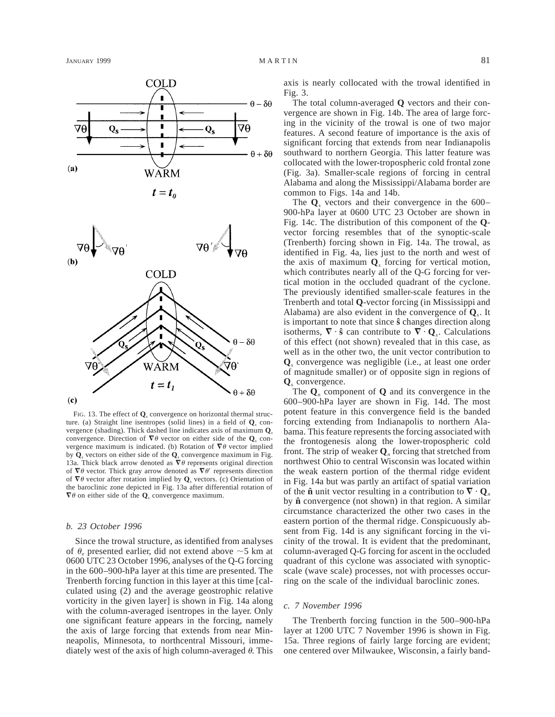



FIG. 13. The effect of **Q***<sup>s</sup>* convergence on horizontal thermal structure. (a) Straight line isentropes (solid lines) in a field of **Q***<sup>s</sup>* convergence (shading). Thick dashed line indicates axis of maximum **Q***<sup>s</sup>* convergence. Direction of  $\nabla \theta$  vector on either side of the **Q**<sub>*s*</sub> convergence maximum is indicated. (b) Rotation of  $\nabla \theta$  vector implied by **Q***<sup>s</sup>* vectors on either side of the **Q***<sup>s</sup>* convergence maximum in Fig. 13a. Thick black arrow denoted as  $\nabla \theta$  represents original direction of  $\nabla \theta$  vector. Thick gray arrow denoted as  $\nabla \theta'$  represents direction of  $\nabla \theta$  vector after rotation implied by  $\mathbf{Q}_s$  vectors. (c) Orientation of the baroclinic zone depicted in Fig. 13a after differential rotation of  $\nabla \theta$  on either side of the **Q**<sub>*s*</sub> convergence maximum.

### *b. 23 October 1996*

Since the trowal structure, as identified from analyses of  $\theta$ , presented earlier, did not extend above  $\sim$  5 km at 0600 UTC 23 October 1996, analyses of the Q-G forcing in the 600–900-hPa layer at this time are presented. The Trenberth forcing function in this layer at this time [calculated using (2) and the average geostrophic relative vorticity in the given layer] is shown in Fig. 14a along with the column-averaged isentropes in the layer. Only one significant feature appears in the forcing, namely the axis of large forcing that extends from near Minneapolis, Minnesota, to northcentral Missouri, immediately west of the axis of high column-averaged  $\theta$ . This axis is nearly collocated with the trowal identified in Fig. 3.

The total column-averaged **Q** vectors and their convergence are shown in Fig. 14b. The area of large forcing in the vicinity of the trowal is one of two major features. A second feature of importance is the axis of significant forcing that extends from near Indianapolis southward to northern Georgia. This latter feature was collocated with the lower-tropospheric cold frontal zone (Fig. 3a). Smaller-scale regions of forcing in central Alabama and along the Mississippi/Alabama border are common to Figs. 14a and 14b.

The **Q***<sup>s</sup>* vectors and their convergence in the 600– 900-hPa layer at 0600 UTC 23 October are shown in Fig. 14c. The distribution of this component of the **Q**vector forcing resembles that of the synoptic-scale (Trenberth) forcing shown in Fig. 14a. The trowal, as identified in Fig. 4a, lies just to the north and west of the axis of maximum **Q***<sup>s</sup>* forcing for vertical motion, which contributes nearly all of the Q-G forcing for vertical motion in the occluded quadrant of the cyclone. The previously identified smaller-scale features in the Trenberth and total **Q**-vector forcing (in Mississippi and Alabama) are also evident in the convergence of **Q***s*. It is important to note that since **sˆ** changes direction along isotherms,  $\nabla \cdot \hat{\mathbf{s}}$  can contribute to  $\nabla \cdot \mathbf{Q}_s$ . Calculations of this effect (not shown) revealed that in this case, as well as in the other two, the unit vector contribution to **Q***<sup>s</sup>* convergence was negligible (i.e., at least one order of magnitude smaller) or of opposite sign in regions of **Q***<sup>s</sup>* convergence.

The **Q***<sup>n</sup>* component of **Q** and its convergence in the 600–900-hPa layer are shown in Fig. 14d. The most potent feature in this convergence field is the banded forcing extending from Indianapolis to northern Alabama. This feature represents the forcing associated with the frontogenesis along the lower-tropospheric cold front. The strip of weaker **Q***<sup>n</sup>* forcing that stretched from northwest Ohio to central Wisconsin was located within the weak eastern portion of the thermal ridge evident in Fig. 14a but was partly an artifact of spatial variation of the  $\hat{\mathbf{n}}$  unit vector resulting in a contribution to  $\nabla \cdot \mathbf{Q}_n$ by **nˆ** convergence (not shown) in that region. A similar circumstance characterized the other two cases in the eastern portion of the thermal ridge. Conspicuously absent from Fig. 14d is any significant forcing in the vicinity of the trowal. It is evident that the predominant, column-averaged Q-G forcing for ascent in the occluded quadrant of this cyclone was associated with synopticscale (wave scale) processes, not with processes occurring on the scale of the individual baroclinic zones.

### *c. 7 November 1996*

The Trenberth forcing function in the 500–900-hPa layer at 1200 UTC 7 November 1996 is shown in Fig. 15a. Three regions of fairly large forcing are evident; one centered over Milwaukee, Wisconsin, a fairly band-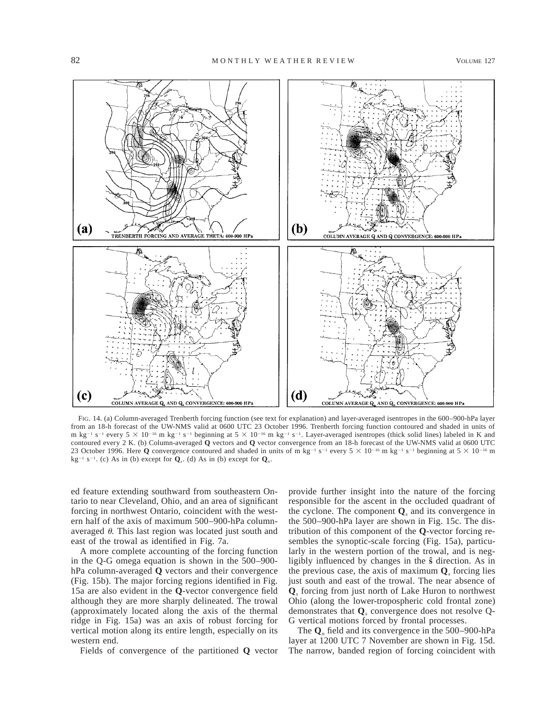

FIG. 14. (a) Column-averaged Trenberth forcing function (see text for explanation) and layer-averaged isentropes in the 600–900-hPa layer from an 18-h forecast of the UW-NMS valid at 0600 UTC 23 October 1996. Trenberth forcing function contoured and shaded in units of m kg<sup>-1</sup> s<sup>-1</sup> every  $5 \times 10^{-16}$  m kg<sup>-1</sup> s<sup>-1</sup> beginning at  $5 \times 10^{-16}$  m kg<sup>-1</sup> s<sup>-1</sup>. Layer-averaged isentropes (thick solid lines) labeled in K and contoured every 2 K. (b) Column-averaged **Q** vectors and **Q** vector convergence from an 18-h forecast of the UW-NMS valid at 0600 UTC 23 October 1996. Here **Q** convergence contoured and shaded in units of m kg<sup>-1</sup> s<sup>-1</sup> every  $5 \times 10^{-16}$  m kg<sup>-1</sup> s<sup>-1</sup> beginning at  $5 \times 10^{-16}$  m kg<sup>-1</sup> s<sup>-1</sup>. (c) As in (b) except for  $\mathbf{Q}_s$ . (d) As in (b) except for  $\mathbf{Q}_n$ .

ed feature extending southward from southeastern Ontario to near Cleveland, Ohio, and an area of significant forcing in northwest Ontario, coincident with the western half of the axis of maximum 500–900-hPa columnaveraged  $\theta$ . This last region was located just south and east of the trowal as identified in Fig. 7a.

A more complete accounting of the forcing function in the Q-G omega equation is shown in the 500–900 hPa column-averaged **Q** vectors and their convergence (Fig. 15b). The major forcing regions identified in Fig. 15a are also evident in the **Q**-vector convergence field although they are more sharply delineated. The trowal (approximately located along the axis of the thermal ridge in Fig. 15a) was an axis of robust forcing for vertical motion along its entire length, especially on its western end.

Fields of convergence of the partitioned **Q** vector

provide further insight into the nature of the forcing responsible for the ascent in the occluded quadrant of the cyclone. The component **Q***<sup>s</sup>* and its convergence in the 500–900-hPa layer are shown in Fig. 15c. The distribution of this component of the **Q**-vector forcing resembles the synoptic-scale forcing (Fig. 15a), particularly in the western portion of the trowal, and is negligibly influenced by changes in the **sˆ** direction. As in the previous case, the axis of maximum  $\mathbf{Q}_s$  forcing lies just south and east of the trowal. The near absence of **Q***<sup>s</sup>* forcing from just north of Lake Huron to northwest Ohio (along the lower-tropospheric cold frontal zone) demonstrates that **Q***<sup>s</sup>* convergence does not resolve Q-G vertical motions forced by frontal processes.

The  $\mathbf{Q}_n$  field and its convergence in the 500–900-hPa layer at 1200 UTC 7 November are shown in Fig. 15d. The narrow, banded region of forcing coincident with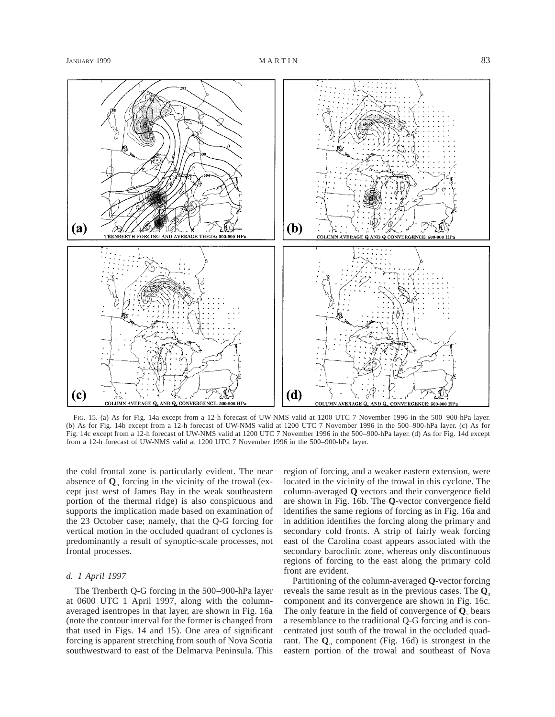

FIG. 15. (a) As for Fig. 14a except from a 12-h forecast of UW-NMS valid at 1200 UTC 7 November 1996 in the 500–900-hPa layer. (b) As for Fig. 14b except from a 12-h forecast of UW-NMS valid at 1200 UTC 7 November 1996 in the 500–900-hPa layer. (c) As for Fig. 14c except from a 12-h forecast of UW-NMS valid at 1200 UTC 7 November 1996 in the 500–900-hPa layer. (d) As for Fig. 14d except from a 12-h forecast of UW-NMS valid at 1200 UTC 7 November 1996 in the 500–900-hPa layer.

the cold frontal zone is particularly evident. The near absence of  $\mathbf{Q}_n$  forcing in the vicinity of the trowal (except just west of James Bay in the weak southeastern portion of the thermal ridge) is also conspicuous and supports the implication made based on examination of the 23 October case; namely, that the Q-G forcing for vertical motion in the occluded quadrant of cyclones is predominantly a result of synoptic-scale processes, not frontal processes.

### *d. 1 April 1997*

The Trenberth Q-G forcing in the 500–900-hPa layer at 0600 UTC 1 April 1997, along with the columnaveraged isentropes in that layer, are shown in Fig. 16a (note the contour interval for the former is changed from that used in Figs. 14 and 15). One area of significant forcing is apparent stretching from south of Nova Scotia southwestward to east of the Delmarva Peninsula. This region of forcing, and a weaker eastern extension, were located in the vicinity of the trowal in this cyclone. The column-averaged **Q** vectors and their convergence field are shown in Fig. 16b. The **Q**-vector convergence field identifies the same regions of forcing as in Fig. 16a and in addition identifies the forcing along the primary and secondary cold fronts. A strip of fairly weak forcing east of the Carolina coast appears associated with the secondary baroclinic zone, whereas only discontinuous regions of forcing to the east along the primary cold front are evident.

Partitioning of the column-averaged **Q**-vector forcing reveals the same result as in the previous cases. The **Q***<sup>s</sup>* component and its convergence are shown in Fig. 16c. The only feature in the field of convergence of  $\mathbf{Q}_s$  bears a resemblance to the traditional Q-G forcing and is concentrated just south of the trowal in the occluded quadrant. The **Q***<sup>n</sup>* component (Fig. 16d) is strongest in the eastern portion of the trowal and southeast of Nova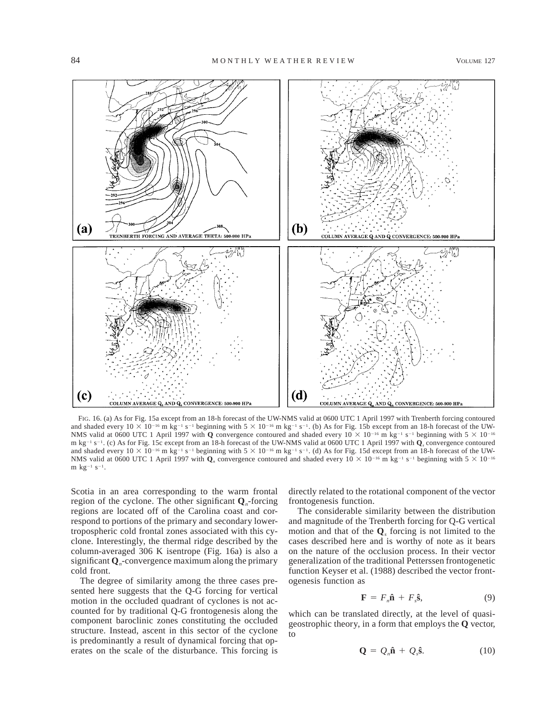

FIG. 16. (a) As for Fig. 15a except from an 18-h forecast of the UW-NMS valid at 0600 UTC 1 April 1997 with Trenberth forcing contoured and shaded every  $10 \times 10^{-16}$  m kg<sup>-1</sup> s<sup>-1</sup> beginning with  $5 \times 10^{-16}$  m kg<sup>-1</sup> s<sup>-1</sup>. (b) As for Fig. 15b except from an 18-h forecast of the UW-NMS valid at 0600 UTC 1 April 1997 with **Q** convergence contoured and shaded every  $10 \times 10^{-16}$  m kg<sup>-1</sup> s<sup>-1</sup> beginning with  $5 \times 10^{-16}$ m kg<sup>2</sup><sup>1</sup> s<sup>2</sup>1. (c) As for Fig. 15c except from an 18-h forecast of the UW-NMS valid at 0600 UTC 1 April 1997 with **Q***<sup>s</sup>* convergence contoured and shaded every  $10 \times 10^{-16}$  m kg<sup>-1</sup> s<sup>-1</sup> beginning with  $5 \times 10^{-16}$  m kg<sup>-1</sup> s<sup>-1</sup>. (d) As for Fig. 15d except from an 18-h forecast of the UW-NMS valid at 0600 UTC 1 April 1997 with  $Q_n$  convergence contoured and shaded every  $10 \times 10^{-16}$  m kg<sup>-1</sup> s<sup>-1</sup> beginning with  $5 \times 10^{-16}$ m  $kg^{-1} s^{-1}$ .

Scotia in an area corresponding to the warm frontal region of the cyclone. The other significant **Q***n*-forcing regions are located off of the Carolina coast and correspond to portions of the primary and secondary lowertropospheric cold frontal zones associated with this cyclone. Interestingly, the thermal ridge described by the column-averaged 306 K isentrope (Fig. 16a) is also a significant **Q***n*-convergence maximum along the primary cold front.

The degree of similarity among the three cases presented here suggests that the Q-G forcing for vertical motion in the occluded quadrant of cyclones is not accounted for by traditional Q-G frontogenesis along the component baroclinic zones constituting the occluded structure. Instead, ascent in this sector of the cyclone is predominantly a result of dynamical forcing that operates on the scale of the disturbance. This forcing is

directly related to the rotational component of the vector frontogenesis function.

The considerable similarity between the distribution and magnitude of the Trenberth forcing for Q-G vertical motion and that of the **Q***<sup>s</sup>* forcing is not limited to the cases described here and is worthy of note as it bears on the nature of the occlusion process. In their vector generalization of the traditional Petterssen frontogenetic function Keyser et al. (1988) described the vector frontogenesis function as

$$
\mathbf{F} = F_n \hat{\mathbf{n}} + F_s \hat{\mathbf{s}}, \tag{9}
$$

which can be translated directly, at the level of quasigeostrophic theory, in a form that employs the **Q** vector, to

$$
\mathbf{Q} = Q_n \hat{\mathbf{n}} + Q_s \hat{\mathbf{s}}.
$$
 (10)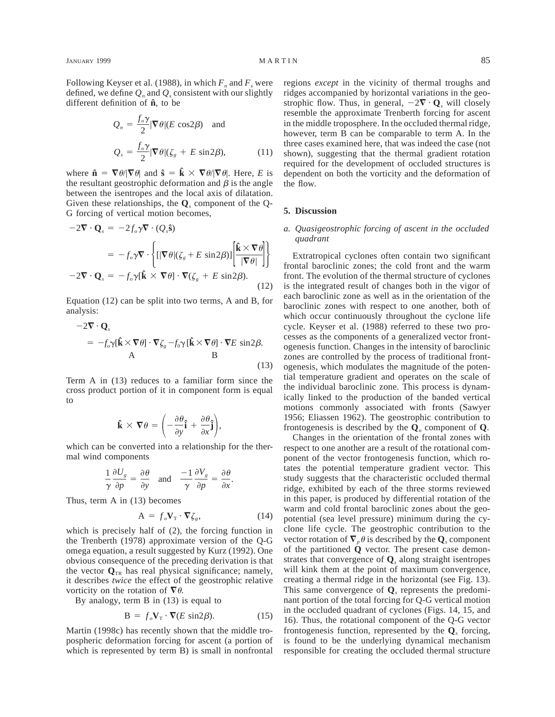Following Keyser et al. (1988), in which  $F_n$  and  $F_s$  were defined, we define  $Q_n$  and  $Q_s$  consistent with our slightly different definition of  $\hat{\mathbf{n}}$ , to be

$$
Q_n = \frac{f_o \gamma}{2} |\nabla \theta| (E \cos 2\beta) \text{ and}
$$
  

$$
Q_s = \frac{f_o \gamma}{2} |\nabla \theta| (\zeta_g + E \sin 2\beta), \qquad (11)
$$

where  $\hat{\mathbf{n}} = \nabla \theta / |\nabla \theta|$  and  $\hat{\mathbf{s}} = \hat{\mathbf{k}} \times \nabla \theta / |\nabla \theta|$ . Here, *E* is the resultant geostrophic deformation and  $\beta$  is the angle between the isentropes and the local axis of dilatation. Given these relationships, the **Q***<sup>s</sup>* component of the Q-G forcing of vertical motion becomes,

$$
-2\nabla \cdot \mathbf{Q}_s = -2f_o \gamma \nabla \cdot (Q_s \hat{\mathbf{s}})
$$
  
=  $-f_o \gamma \nabla \cdot \left\{ [|\nabla \theta|(\zeta_s + E \sin 2\beta)] \left[ \frac{\hat{\mathbf{k}} \times \nabla \theta}{|\nabla \theta|} \right] \right\}$   

$$
-2\nabla \cdot \mathbf{Q}_s = -f_o \gamma [\hat{\mathbf{k}} \times \nabla \theta] \cdot \nabla (\zeta_s + E \sin 2\beta).
$$
 (12)

Equation (12) can be split into two terms, A and B, for analysis:

$$
-2\nabla \cdot \mathbf{Q}_s
$$
  
=  $-f_0 \gamma [\hat{\mathbf{k}} \times \nabla \theta] \cdot \nabla \zeta_g - f_0 \gamma [\hat{\mathbf{k}} \times \nabla \theta] \cdot \nabla E \sin 2\beta.$   
A  
(13)

Term A in (13) reduces to a familiar form since the cross product portion of it in component form is equal to

$$
\hat{\mathbf{k}} \times \nabla \theta = \left(-\frac{\partial \theta}{\partial y}\hat{\mathbf{i}} + \frac{\partial \theta}{\partial x}\hat{\mathbf{j}}\right),\end{aligned}
$$

which can be converted into a relationship for the thermal wind components

$$
\frac{1}{\gamma} \frac{\partial U_s}{\partial p} = \frac{\partial \theta}{\partial y} \quad \text{and} \quad \frac{-1}{\gamma} \frac{\partial V_s}{\partial p} = \frac{\partial \theta}{\partial x}.
$$

Thus, term A in (13) becomes

$$
\mathbf{A} = f_o \mathbf{V}_T \cdot \nabla \zeta_g, \tag{14}
$$

which is precisely half of (2), the forcing function in the Trenberth (1978) approximate version of the Q-G omega equation, a result suggested by Kurz (1992). One obvious consequence of the preceding derivation is that the vector  $\mathbf{Q}_{TR}$  has real physical significance; namely, it describes *twice* the effect of the geostrophic relative vorticity on the rotation of  $\nabla \theta$ .

By analogy, term B in (13) is equal to

$$
\mathbf{B} = f_o \mathbf{V}_\mathrm{T} \cdot \mathbf{\nabla} (E \sin 2\beta). \tag{15}
$$

Martin (1998c) has recently shown that the middle tropospheric deformation forcing for ascent (a portion of which is represented by term B) is small in nonfrontal regions *except* in the vicinity of thermal troughs and ridges accompanied by horizontal variations in the geostrophic flow. Thus, in general,  $-2\nabla \cdot \mathbf{Q}_s$  will closely resemble the approximate Trenberth forcing for ascent in the middle troposphere. In the occluded thermal ridge, however, term B can be comparable to term A. In the three cases examined here, that was indeed the case (not shown), suggesting that the thermal gradient rotation required for the development of occluded structures is dependent on both the vorticity and the deformation of the flow.

#### **5. Discussion**

# *a. Quasigeostrophic forcing of ascent in the occluded quadrant*

Extratropical cyclones often contain two significant frontal baroclinic zones; the cold front and the warm front. The evolution of the thermal structure of cyclones is the integrated result of changes both in the vigor of each baroclinic zone as well as in the orientation of the baroclinic zones with respect to one another, both of which occur continuously throughout the cyclone life cycle. Keyser et al. (1988) referred to these two processes as the components of a generalized vector frontogenesis function. Changes in the intensity of baroclinic zones are controlled by the process of traditional frontogenesis, which modulates the magnitude of the potential temperature gradient and operates on the scale of the individual baroclinic zone. This process is dynamically linked to the production of the banded vertical motions commonly associated with fronts (Sawyer 1956; Eliassen 1962). The geostrophic contribution to frontogenesis is described by the  $Q_n$  component of  $Q$ .

Changes in the orientation of the frontal zones with respect to one another are a result of the rotational component of the vector frontogenesis function, which rotates the potential temperature gradient vector. This study suggests that the characteristic occluded thermal ridge, exhibited by each of the three storms reviewed in this paper, is produced by differential rotation of the warm and cold frontal baroclinic zones about the geopotential (sea level pressure) minimum during the cyclone life cycle. The geostrophic contribution to the vector rotation of  $\nabla_p \theta$  is described by the **Q**<sub>*s*</sub> component of the partitioned **Q** vector. The present case demonstrates that convergence of **Q***<sup>s</sup>* along straight isentropes will kink them at the point of maximum convergence, creating a thermal ridge in the horizontal (see Fig. 13). This same convergence of **Q***<sup>s</sup>* represents the predominant portion of the total forcing for Q-G vertical motion in the occluded quadrant of cyclones (Figs. 14, 15, and 16). Thus, the rotational component of the Q-G vector frontogenesis function, represented by the **Q***<sup>s</sup>* forcing, is found to be the underlying dynamical mechanism responsible for creating the occluded thermal structure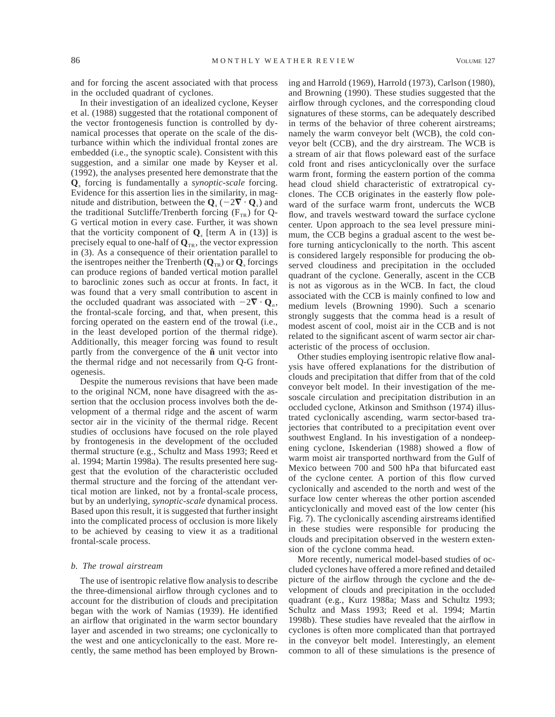and for forcing the ascent associated with that process in the occluded quadrant of cyclones.

In their investigation of an idealized cyclone, Keyser et al. (1988) suggested that the rotational component of the vector frontogenesis function is controlled by dynamical processes that operate on the scale of the disturbance within which the individual frontal zones are embedded (i.e., the synoptic scale). Consistent with this suggestion, and a similar one made by Keyser et al. (1992), the analyses presented here demonstrate that the **Q***<sup>s</sup>* forcing is fundamentally a *synoptic-scale* forcing. Evidence for this assertion lies in the similarity, in magnitude and distribution, between the  $Q_i$  ( $-2\nabla \cdot Q_i$ ) and the traditional Sutcliffe/Trenberth forcing  $(F_{TR})$  for Q-G vertical motion in every case. Further, it was shown that the vorticity component of  $\mathbf{Q}_s$  [term A in (13)] is precisely equal to one-half of  $\mathbf{Q}_{TR}$ , the vector expression in (3). As a consequence of their orientation parallel to the isentropes neither the Trenberth  $(Q_{TR})$  or  $Q_{s}$  forcings can produce regions of banded vertical motion parallel to baroclinic zones such as occur at fronts. In fact, it was found that a very small contribution to ascent in the occluded quadrant was associated with  $-2\nabla \cdot \mathbf{Q}_n$ , the frontal-scale forcing, and that, when present, this forcing operated on the eastern end of the trowal (i.e., in the least developed portion of the thermal ridge). Additionally, this meager forcing was found to result partly from the convergence of the **nˆ** unit vector into the thermal ridge and not necessarily from Q-G frontogenesis.

Despite the numerous revisions that have been made to the original NCM, none have disagreed with the assertion that the occlusion process involves both the development of a thermal ridge and the ascent of warm sector air in the vicinity of the thermal ridge. Recent studies of occlusions have focused on the role played by frontogenesis in the development of the occluded thermal structure (e.g., Schultz and Mass 1993; Reed et al. 1994; Martin 1998a). The results presented here suggest that the evolution of the characteristic occluded thermal structure and the forcing of the attendant vertical motion are linked, not by a frontal-scale process, but by an underlying, *synoptic-scale* dynamical process. Based upon this result, it is suggested that further insight into the complicated process of occlusion is more likely to be achieved by ceasing to view it as a traditional frontal-scale process.

### *b. The trowal airstream*

The use of isentropic relative flow analysis to describe the three-dimensional airflow through cyclones and to account for the distribution of clouds and precipitation began with the work of Namias (1939). He identified an airflow that originated in the warm sector boundary layer and ascended in two streams; one cyclonically to the west and one anticyclonically to the east. More recently, the same method has been employed by Brown-

ing and Harrold (1969), Harrold (1973), Carlson (1980), and Browning (1990). These studies suggested that the airflow through cyclones, and the corresponding cloud signatures of these storms, can be adequately described in terms of the behavior of three coherent airstreams; namely the warm conveyor belt (WCB), the cold conveyor belt (CCB), and the dry airstream. The WCB is a stream of air that flows poleward east of the surface cold front and rises anticyclonically over the surface warm front, forming the eastern portion of the comma head cloud shield characteristic of extratropical cyclones. The CCB originates in the easterly flow poleward of the surface warm front, undercuts the WCB flow, and travels westward toward the surface cyclone center. Upon approach to the sea level pressure minimum, the CCB begins a gradual ascent to the west before turning anticyclonically to the north. This ascent is considered largely responsible for producing the observed cloudiness and precipitation in the occluded quadrant of the cyclone. Generally, ascent in the CCB is not as vigorous as in the WCB. In fact, the cloud associated with the CCB is mainly confined to low and medium levels (Browning 1990). Such a scenario strongly suggests that the comma head is a result of modest ascent of cool, moist air in the CCB and is not related to the significant ascent of warm sector air characteristic of the process of occlusion.

Other studies employing isentropic relative flow analysis have offered explanations for the distribution of clouds and precipitation that differ from that of the cold conveyor belt model. In their investigation of the mesoscale circulation and precipitation distribution in an occluded cyclone, Atkinson and Smithson (1974) illustrated cyclonically ascending, warm sector-based trajectories that contributed to a precipitation event over southwest England. In his investigation of a nondeepening cyclone, Iskenderian (1988) showed a flow of warm moist air transported northward from the Gulf of Mexico between 700 and 500 hPa that bifurcated east of the cyclone center. A portion of this flow curved cyclonically and ascended to the north and west of the surface low center whereas the other portion ascended anticyclonically and moved east of the low center (his Fig. 7). The cyclonically ascending airstreams identified in these studies were responsible for producing the clouds and precipitation observed in the western extension of the cyclone comma head.

More recently, numerical model-based studies of occluded cyclones have offered a more refined and detailed picture of the airflow through the cyclone and the development of clouds and precipitation in the occluded quadrant (e.g., Kurz 1988a; Mass and Schultz 1993; Schultz and Mass 1993; Reed et al. 1994; Martin 1998b). These studies have revealed that the airflow in cyclones is often more complicated than that portrayed in the conveyor belt model. Interestingly, an element common to all of these simulations is the presence of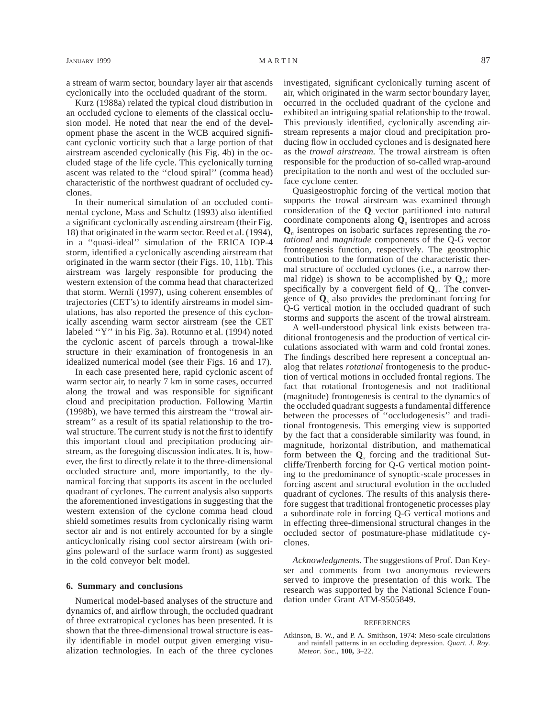a stream of warm sector, boundary layer air that ascends cyclonically into the occluded quadrant of the storm.

Kurz (1988a) related the typical cloud distribution in an occluded cyclone to elements of the classical occlusion model. He noted that near the end of the development phase the ascent in the WCB acquired significant cyclonic vorticity such that a large portion of that airstream ascended cyclonically (his Fig. 4b) in the occluded stage of the life cycle. This cyclonically turning ascent was related to the ''cloud spiral'' (comma head) characteristic of the northwest quadrant of occluded cyclones.

In their numerical simulation of an occluded continental cyclone, Mass and Schultz (1993) also identified a significant cyclonically ascending airstream (their Fig. 18) that originated in the warm sector. Reed et al. (1994), in a ''quasi-ideal'' simulation of the ERICA IOP-4 storm, identified a cyclonically ascending airstream that originated in the warm sector (their Figs. 10, 11b). This airstream was largely responsible for producing the western extension of the comma head that characterized that storm. Wernli (1997), using coherent ensembles of trajectories (CET's) to identify airstreams in model simulations, has also reported the presence of this cyclonically ascending warm sector airstream (see the CET labeled ''Y'' in his Fig. 3a). Rotunno et al. (1994) noted the cyclonic ascent of parcels through a trowal-like structure in their examination of frontogenesis in an idealized numerical model (see their Figs. 16 and 17).

In each case presented here, rapid cyclonic ascent of warm sector air, to nearly 7 km in some cases, occurred along the trowal and was responsible for significant cloud and precipitation production. Following Martin (1998b), we have termed this airstream the ''trowal airstream'' as a result of its spatial relationship to the trowal structure. The current study is not the first to identify this important cloud and precipitation producing airstream, as the foregoing discussion indicates. It is, however, the first to directly relate it to the three-dimensional occluded structure and, more importantly, to the dynamical forcing that supports its ascent in the occluded quadrant of cyclones. The current analysis also supports the aforementioned investigations in suggesting that the western extension of the cyclone comma head cloud shield sometimes results from cyclonically rising warm sector air and is not entirely accounted for by a single anticyclonically rising cool sector airstream (with origins poleward of the surface warm front) as suggested in the cold conveyor belt model.

#### **6. Summary and conclusions**

Numerical model-based analyses of the structure and dynamics of, and airflow through, the occluded quadrant of three extratropical cyclones has been presented. It is shown that the three-dimensional trowal structure is easily identifiable in model output given emerging visualization technologies. In each of the three cyclones investigated, significant cyclonically turning ascent of air, which originated in the warm sector boundary layer, occurred in the occluded quadrant of the cyclone and exhibited an intriguing spatial relationship to the trowal. This previously identified, cyclonically ascending airstream represents a major cloud and precipitation producing flow in occluded cyclones and is designated here as the *trowal airstream.* The trowal airstream is often responsible for the production of so-called wrap-around precipitation to the north and west of the occluded surface cyclone center.

Quasigeostrophic forcing of the vertical motion that supports the trowal airstream was examined through consideration of the **Q** vector partitioned into natural coordinate components along **Q***<sup>s</sup>* isentropes and across **Q***<sup>n</sup>* isentropes on isobaric surfaces representing the *rotational* and *magnitude* components of the Q-G vector frontogenesis function, respectively. The geostrophic contribution to the formation of the characteristic thermal structure of occluded cyclones (i.e., a narrow thermal ridge) is shown to be accomplished by  $Q_s$ ; more specifically by a convergent field of **Q***s*. The convergence of **Q***<sup>s</sup>* also provides the predominant forcing for Q-G vertical motion in the occluded quadrant of such storms and supports the ascent of the trowal airstream.

A well-understood physical link exists between traditional frontogenesis and the production of vertical circulations associated with warm and cold frontal zones. The findings described here represent a conceptual analog that relates *rotational* frontogenesis to the production of vertical motions in occluded frontal regions. The fact that rotational frontogenesis and not traditional (magnitude) frontogenesis is central to the dynamics of the occluded quadrant suggests a fundamental difference between the processes of ''occludogenesis'' and traditional frontogenesis. This emerging view is supported by the fact that a considerable similarity was found, in magnitude, horizontal distribution, and mathematical form between the **Q***<sup>s</sup>* forcing and the traditional Sutcliffe/Trenberth forcing for Q-G vertical motion pointing to the predominance of synoptic-scale processes in forcing ascent and structural evolution in the occluded quadrant of cyclones. The results of this analysis therefore suggest that traditional frontogenetic processes play a subordinate role in forcing Q-G vertical motions and in effecting three-dimensional structural changes in the occluded sector of postmature-phase midlatitude cyclones.

*Acknowledgments.* The suggestions of Prof. Dan Keyser and comments from two anonymous reviewers served to improve the presentation of this work. The research was supported by the National Science Foundation under Grant ATM-9505849.

#### REFERENCES

Atkinson, B. W., and P. A. Smithson, 1974: Meso-scale circulations and rainfall patterns in an occluding depression. *Quart. J. Roy. Meteor. Soc.,* **100,** 3–22.